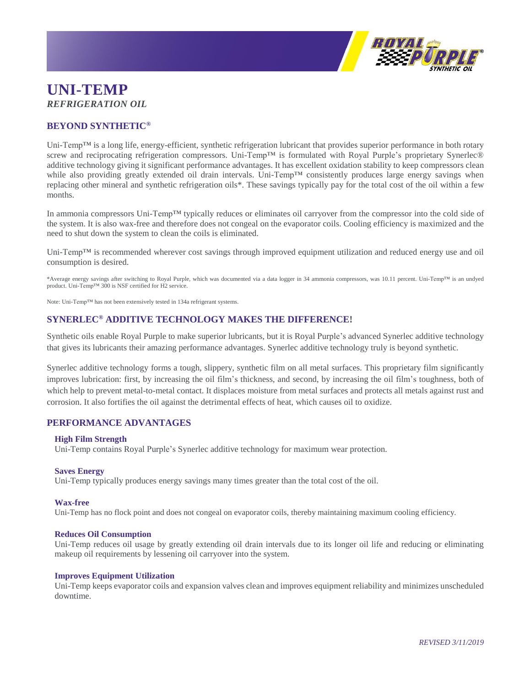

# **UNI-TEMP** *REFRIGERATION OIL*

# **BEYOND SYNTHETIC®**

Uni-Temp™ is a long life, energy-efficient, synthetic refrigeration lubricant that provides superior performance in both rotary screw and reciprocating refrigeration compressors. Uni-Temp™ is formulated with Royal Purple's proprietary Synerlec® additive technology giving it significant performance advantages. It has excellent oxidation stability to keep compressors clean while also providing greatly extended oil drain intervals. Uni-Temp™ consistently produces large energy savings when replacing other mineral and synthetic refrigeration oils\*. These savings typically pay for the total cost of the oil within a few months.

In ammonia compressors Uni-Temp™ typically reduces or eliminates oil carryover from the compressor into the cold side of the system. It is also wax-free and therefore does not congeal on the evaporator coils. Cooling efficiency is maximized and the need to shut down the system to clean the coils is eliminated.

Uni-Temp™ is recommended wherever cost savings through improved equipment utilization and reduced energy use and oil consumption is desired.

\*Average energy savings after switching to Royal Purple, which was documented via a data logger in 34 ammonia compressors, was 10.11 percent. Uni-Temp™ is an undyed product. Uni-Temp™ 300 is NSF certified for H2 service.

Note: Uni-Temp™ has not been extensively tested in 134a refrigerant systems.

# **SYNERLEC® ADDITIVE TECHNOLOGY MAKES THE DIFFERENCE!**

Synthetic oils enable Royal Purple to make superior lubricants, but it is Royal Purple's advanced Synerlec additive technology that gives its lubricants their amazing performance advantages. Synerlec additive technology truly is beyond synthetic.

Synerlec additive technology forms a tough, slippery, synthetic film on all metal surfaces. This proprietary film significantly improves lubrication: first, by increasing the oil film's thickness, and second, by increasing the oil film's toughness, both of which help to prevent metal-to-metal contact. It displaces moisture from metal surfaces and protects all metals against rust and corrosion. It also fortifies the oil against the detrimental effects of heat, which causes oil to oxidize.

# **PERFORMANCE ADVANTAGES**

# **High Film Strength**

Uni-Temp contains Royal Purple's Synerlec additive technology for maximum wear protection.

# **Saves Energy**

Uni-Temp typically produces energy savings many times greater than the total cost of the oil.

#### **Wax-free**

Uni-Temp has no flock point and does not congeal on evaporator coils, thereby maintaining maximum cooling efficiency.

# **Reduces Oil Consumption**

Uni-Temp reduces oil usage by greatly extending oil drain intervals due to its longer oil life and reducing or eliminating makeup oil requirements by lessening oil carryover into the system.

#### **Improves Equipment Utilization**

Uni-Temp keeps evaporator coils and expansion valves clean and improves equipment reliability and minimizes unscheduled downtime.